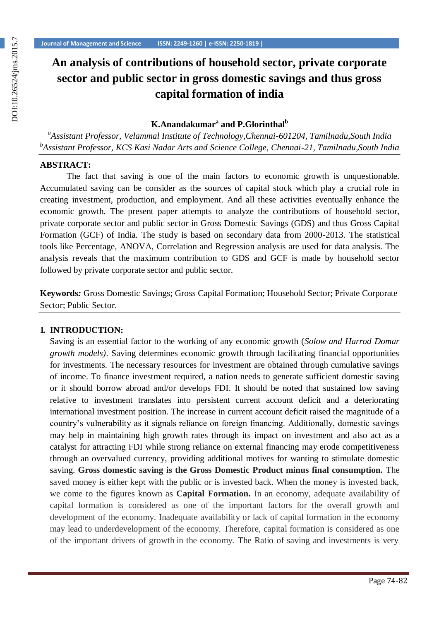# **An analysis of contributions of household sector, private corporate sector and public sector in gross domestic savings and thus gross capital formation of india**

## **K.Anandakumar<sup>a</sup> and P.Glorinthal<sup>b</sup>**

*a Assistant Professor, Velammal Institute of Technology,Chennai-601204, Tamilnadu,South India b Assistant Professor, KCS Kasi Nadar Arts and Science College, Chennai-21, Tamilnadu,South India*

#### **ABSTRACT:**

The fact that saving is one of the main factors to economic growth is unquestionable. Accumulated saving can be consider as the sources of capital stock which play a crucial role in creating investment, production, and employment. And all these activities eventually enhance the economic growth. The present paper attempts to analyze the contributions of household sector, private corporate sector and public sector in Gross Domestic Savings (GDS) and thus Gross Capital Formation (GCF) of India. The study is based on secondary data from 2000-2013. The statistical tools like Percentage, ANOVA, Correlation and Regression analysis are used for data analysis. The analysis reveals that the maximum contribution to GDS and GCF is made by household sector followed by private corporate sector and public sector.

**Keywords***:* Gross Domestic Savings; Gross Capital Formation; Household Sector; Private Corporate Sector; Public Sector.

#### **1. INTRODUCTION:**

Saving is an essential factor to the working of any economic growth (*Solow and Harrod Domar growth models)*. Saving determines economic growth through facilitating financial opportunities for investments. The necessary resources for investment are obtained through cumulative savings of income. To finance investment required, a nation needs to generate sufficient domestic saving or it should borrow abroad and/or develops FDI. It should be noted that sustained low saving relative to investment translates into persistent current account deficit and a deteriorating international investment position. The increase in current account deficit raised the magnitude of a country's vulnerability as it signals reliance on foreign financing. Additionally, domestic savings may help in maintaining high growth rates through its impact on investment and also act as a catalyst for attracting FDI while strong reliance on external financing may erode competitiveness through an overvalued currency, providing additional motives for wanting to stimulate domestic saving. **Gross domestic saving is the Gross Domestic Product minus final consumption.** The saved money is either kept with the public or is invested back. When the money is invested back, we come to the figures known as **Capital Formation.** In an economy, adequate availability of capital formation is considered as one of the important factors for the overall growth and development of the economy. Inadequate availability or lack of capital formation in the economy may lead to underdevelopment of the economy. Therefore, capital formation is considered as one of the important drivers of growth in the economy. The Ratio of saving and investments is very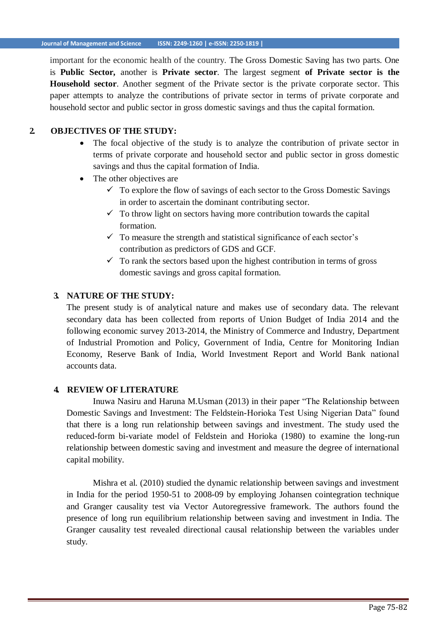important for the economic health of the country. The Gross Domestic Saving has two parts. One is **Public Sector,** another is **Private sector**. The largest segment **of Private sector is the Household sector**. Another segment of the Private sector is the private corporate sector. This paper attempts to analyze the contributions of private sector in terms of private corporate and household sector and public sector in gross domestic savings and thus the capital formation.

## **2. OBJECTIVES OF THE STUDY:**

- The focal objective of the study is to analyze the contribution of private sector in terms of private corporate and household sector and public sector in gross domestic savings and thus the capital formation of India.
- The other objectives are
	- $\checkmark$  To explore the flow of savings of each sector to the Gross Domestic Savings in order to ascertain the dominant contributing sector.
	- $\checkmark$  To throw light on sectors having more contribution towards the capital formation.
	- $\checkmark$  To measure the strength and statistical significance of each sector's contribution as predictors of GDS and GCF.
	- $\checkmark$  To rank the sectors based upon the highest contribution in terms of gross domestic savings and gross capital formation.

#### **3. NATURE OF THE STUDY:**

The present study is of analytical nature and makes use of secondary data. The relevant secondary data has been collected from reports of Union Budget of India 2014 and the following economic survey 2013-2014, the Ministry of Commerce and Industry, Department of Industrial Promotion and Policy, Government of India, Centre for Monitoring Indian Economy, Reserve Bank of India, World Investment Report and World Bank national accounts data.

#### **4. REVIEW OF LITERATURE**

Inuwa Nasiru and Haruna M.Usman (2013) in their paper "The Relationship between Domestic Savings and Investment: The Feldstein-Horioka Test Using Nigerian Data" found that there is a long run relationship between savings and investment. The study used the reduced-form bi-variate model of Feldstein and Horioka (1980) to examine the long-run relationship between domestic saving and investment and measure the degree of international capital mobility.

Mishra et al. (2010) studied the dynamic relationship between savings and investment in India for the period 1950-51 to 2008-09 by employing Johansen cointegration technique and Granger causality test via Vector Autoregressive framework. The authors found the presence of long run equilibrium relationship between saving and investment in India. The Granger causality test revealed directional causal relationship between the variables under study.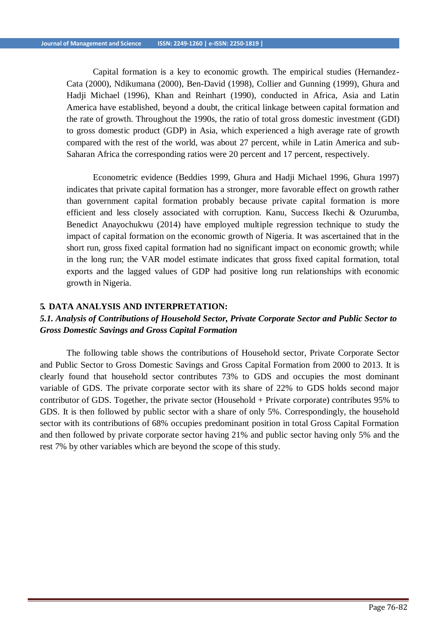Capital formation is a key to economic growth. The empirical studies (Hernandez-Cata (2000), Ndikumana (2000), Ben-David (1998), Collier and Gunning (1999), Ghura and Hadji Michael (1996), Khan and Reinhart (1990), conducted in Africa, Asia and Latin America have established, beyond a doubt, the critical linkage between capital formation and the rate of growth. Throughout the 1990s, the ratio of total gross domestic investment (GDI) to gross domestic product (GDP) in Asia, which experienced a high average rate of growth compared with the rest of the world, was about 27 percent, while in Latin America and sub-Saharan Africa the corresponding ratios were 20 percent and 17 percent, respectively.

Econometric evidence (Beddies 1999, Ghura and Hadji Michael 1996, Ghura 1997) indicates that private capital formation has a stronger, more favorable effect on growth rather than government capital formation probably because private capital formation is more efficient and less closely associated with corruption. Kanu, Success Ikechi & Ozurumba, Benedict Anayochukwu (2014) have employed multiple regression technique to study the impact of capital formation on the economic growth of Nigeria. It was ascertained that in the short run, gross fixed capital formation had no significant impact on economic growth; while in the long run; the VAR model estimate indicates that gross fixed capital formation, total exports and the lagged values of GDP had positive long run relationships with economic growth in Nigeria.

#### **5. DATA ANALYSIS AND INTERPRETATION:**

# *5.1. Analysis of Contributions of Household Sector, Private Corporate Sector and Public Sector to Gross Domestic Savings and Gross Capital Formation*

The following table shows the contributions of Household sector, Private Corporate Sector and Public Sector to Gross Domestic Savings and Gross Capital Formation from 2000 to 2013. It is clearly found that household sector contributes 73% to GDS and occupies the most dominant variable of GDS. The private corporate sector with its share of 22% to GDS holds second major contributor of GDS. Together, the private sector (Household + Private corporate) contributes 95% to GDS. It is then followed by public sector with a share of only 5%. Correspondingly, the household sector with its contributions of 68% occupies predominant position in total Gross Capital Formation and then followed by private corporate sector having 21% and public sector having only 5% and the rest 7% by other variables which are beyond the scope of this study.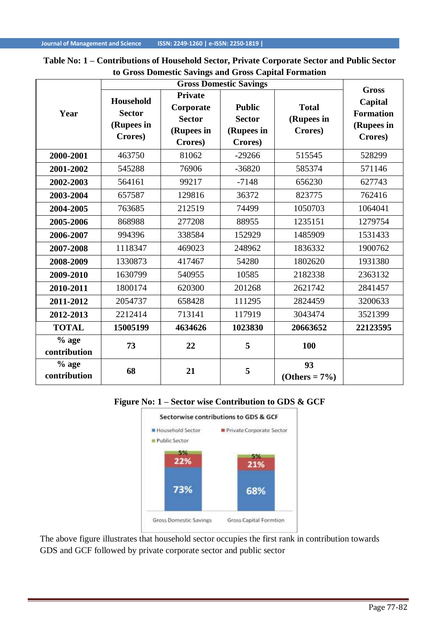## **Table No: 1 – Contributions of Household Sector, Private Corporate Sector and Public Sector to Gross Domestic Savings and Gross Capital Formation**

|                         |                                                            | <b>Gross</b>                                                          |                                                         |                                       |                                                      |
|-------------------------|------------------------------------------------------------|-----------------------------------------------------------------------|---------------------------------------------------------|---------------------------------------|------------------------------------------------------|
| Year                    | <b>Household</b><br><b>Sector</b><br>(Rupees in<br>Crores) | <b>Private</b><br>Corporate<br><b>Sector</b><br>(Rupees in<br>Crores) | <b>Public</b><br><b>Sector</b><br>(Rupees in<br>Crores) | <b>Total</b><br>(Rupees in<br>Crores) | Capital<br><b>Formation</b><br>(Rupees in<br>Crores) |
| 2000-2001               | 463750                                                     | 81062                                                                 | $-29266$                                                | 515545                                | 528299                                               |
| 2001-2002               | 545288                                                     | 76906                                                                 | $-36820$                                                | 585374                                | 571146                                               |
| 2002-2003               | 564161                                                     | 99217                                                                 | $-7148$                                                 | 656230                                | 627743                                               |
| 2003-2004               | 657587                                                     | 129816                                                                | 36372                                                   | 823775                                | 762416                                               |
| 2004-2005               | 763685                                                     | 212519                                                                | 74499                                                   | 1050703                               | 1064041                                              |
| 2005-2006               | 868988                                                     | 277208                                                                | 88955                                                   | 1235151                               | 1279754                                              |
| 2006-2007               | 994396                                                     | 338584                                                                | 152929                                                  | 1485909                               | 1531433                                              |
| 2007-2008               | 1118347                                                    | 469023                                                                | 248962                                                  | 1836332                               | 1900762                                              |
| 2008-2009               | 1330873                                                    | 417467                                                                | 54280                                                   | 1802620                               | 1931380                                              |
| 2009-2010               | 1630799                                                    | 540955                                                                | 10585                                                   | 2182338                               | 2363132                                              |
| 2010-2011               | 1800174                                                    | 620300                                                                | 201268                                                  | 2621742                               | 2841457                                              |
| 2011-2012               | 2054737                                                    | 658428                                                                | 111295                                                  | 2824459                               | 3200633                                              |
| 2012-2013               | 2212414                                                    | 713141                                                                | 117919                                                  | 3043474                               | 3521399                                              |
| <b>TOTAL</b>            | 15005199                                                   | 4634626                                                               | 1023830                                                 | 20663652                              | 22123595                                             |
| $%$ age<br>contribution | 73                                                         | 22                                                                    | 5                                                       | 100                                   |                                                      |
| $%$ age<br>contribution | 68                                                         | 21                                                                    | 5                                                       | 93<br>$( Others = 7\%)$               |                                                      |

## **Figure No: 1 – Sector wise Contribution to GDS & GCF**



The above figure illustrates that household sector occupies the first rank in contribution towards GDS and GCF followed by private corporate sector and public sector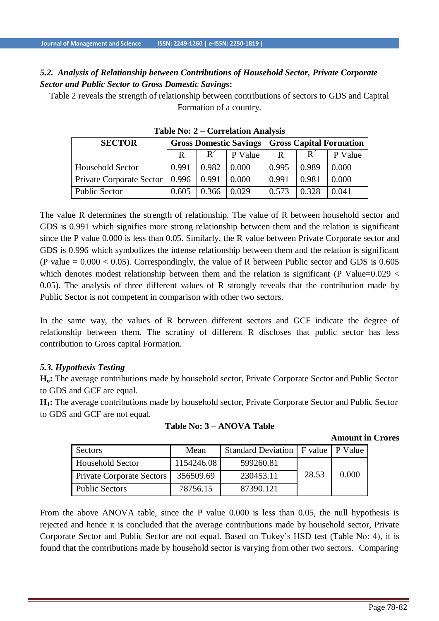# *5.2. Analysis of Relationship between Contributions of Household Sector, Private Corporate Sector and Public Sector to Gross Domestic Savings***:**

Table 2 reveals the strength of relationship between contributions of sectors to GDS and Capital Formation of a country.

| <b>SECTOR</b>            | <b>Gross Domestic Savings</b> |       |         | <b>Gross Capital Formation</b> |                |         |
|--------------------------|-------------------------------|-------|---------|--------------------------------|----------------|---------|
|                          | R                             | $R^2$ | P Value | R                              | $\mathbf{R}^2$ | P Value |
| Household Sector         | 0.991                         | 0.982 | 0.000   | 0.995                          | 0.989          | 0.000   |
| Private Corporate Sector | 0.996                         | 0.991 | 0.000   | 0.991                          | 0.981          | 0.000   |
| <b>Public Sector</b>     | 0.605                         | 0.366 | 0.029   | 0.573                          | 0.328          | 0.041   |

**Table No: 2 – Correlation Analysis**

The value R determines the strength of relationship. The value of R between household sector and GDS is 0.991 which signifies more strong relationship between them and the relation is significant since the P value 0.000 is less than 0.05. Similarly, the R value between Private Corporate sector and GDS is 0.996 which symbolizes the intense relationship between them and the relation is significant (P value  $= 0.000 < 0.05$ ). Correspondingly, the value of R between Public sector and GDS is 0.605 which denotes modest relationship between them and the relation is significant (P Value= $0.029 <$ 0.05). The analysis of three different values of R strongly reveals that the contribution made by Public Sector is not competent in comparison with other two sectors.

In the same way, the values of R between different sectors and GCF indicate the degree of relationship between them. The scrutiny of different R discloses that public sector has less contribution to Gross capital Formation.

## *5.3. Hypothesis Testing*

**Ho:** The average contributions made by household sector, Private Corporate Sector and Public Sector to GDS and GCF are equal.

**H1:** The average contributions made by household sector, Private Corporate Sector and Public Sector to GDS and GCF are not equal.

| Sectors                          | Mean       | Standard Deviation   F value   P Value |       |       |
|----------------------------------|------------|----------------------------------------|-------|-------|
| <b>Household Sector</b>          | 1154246.08 | 599260.81                              |       |       |
| <b>Private Corporate Sectors</b> | 356509.69  | 230453.11                              | 28.53 | 0.000 |
| <b>Public Sectors</b>            | 78756.15   | 87390.121                              |       |       |

## **Table No: 3 – ANOVA Table**

**Amount in Crores**

From the above ANOVA table, since the P value 0.000 is less than 0.05, the null hypothesis is rejected and hence it is concluded that the average contributions made by household sector, Private Corporate Sector and Public Sector are not equal. Based on Tukey's HSD test (Table No: 4), it is found that the contributions made by household sector is varying from other two sectors. Comparing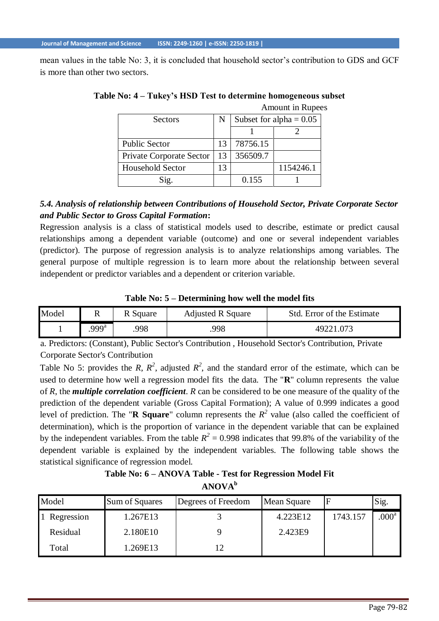mean values in the table No: 3, it is concluded that household sector's contribution to GDS and GCF is more than other two sectors.

| <b>Sectors</b>           |    | Subset for alpha = $0.05$ |           |  |
|--------------------------|----|---------------------------|-----------|--|
|                          |    |                           |           |  |
| <b>Public Sector</b>     | 13 | 78756.15                  |           |  |
| Private Corporate Sector | 13 | 356509.7                  |           |  |
| <b>Household Sector</b>  | 13 |                           | 1154246.1 |  |
| Sig.                     |    | 0.155                     |           |  |

**Table No: 4 – Tukey's HSD Test to determine homogeneous subset** Amount in Rupees

# *5.4. Analysis of relationship between Contributions of Household Sector, Private Corporate Sector and Public Sector to Gross Capital Formation***:**

Regression analysis is a class of statistical models used to describe, estimate or predict causal relationships among a dependent variable (outcome) and one or several independent variables (predictor). The purpose of regression analysis is to analyze relationships among variables. The general purpose of multiple regression is to learn more about the relationship between several independent or predictor variables and a dependent or criterion variable.

**Table No: 5 – Determining how well the model fits**

| Model | 17   | R Square | <b>Adjusted R Square</b> | Std. Error of the Estimate |
|-------|------|----------|--------------------------|----------------------------|
|       | 999ª | 998      | 998                      | 49221.073                  |

a. Predictors: (Constant), Public Sector's Contribution , Household Sector's Contribution, Private Corporate Sector's Contribution

Table No 5: provides the *R*,  $R^2$ , adjusted  $R^2$ , and the standard error of the estimate, which can be used to determine how well a regression model fits the data. The "**R**" column represents the value of *R*, the *multiple correlation coefficient*. *R* can be considered to be one measure of the quality of the prediction of the dependent variable (Gross Capital Formation); A value of 0.999 indicates a good level of prediction. The "**R** Square" column represents the  $R^2$  value (also called the coefficient of determination), which is the proportion of variance in the dependent variable that can be explained by the independent variables. From the table  $R^2 = 0.998$  indicates that 99.8% of the variability of the dependent variable is explained by the independent variables. The following table shows the statistical significance of regression model.

**Table No: 6 – ANOVA Table - Test for Regression Model Fit ANOVA<sup>b</sup>**

| Model      | Sum of Squares | Degrees of Freedom | Mean Square | Е        | Sig.              |
|------------|----------------|--------------------|-------------|----------|-------------------|
| Regression | 1.267E13       |                    | 4.223E12    | 1743.157 | .000 <sup>a</sup> |
| Residual   | 2.180E10       |                    | 2.423E9     |          |                   |
| Total      | 1.269E13       |                    |             |          |                   |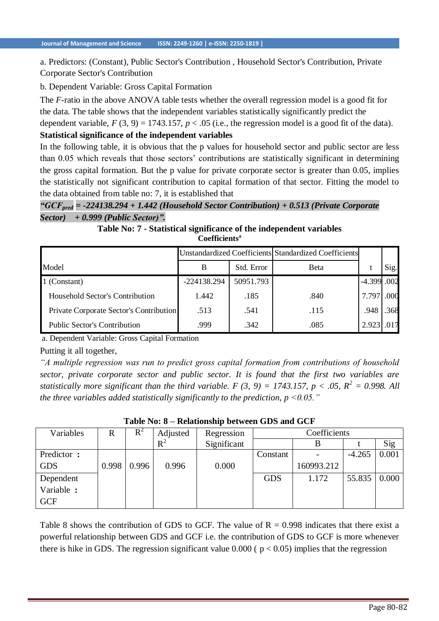a. Predictors: (Constant), Public Sector's Contribution , Household Sector's Contribution, Private Corporate Sector's Contribution

b. Dependent Variable: Gross Capital Formation

The *F*-ratio in the above ANOVA table tests whether the overall regression model is a good fit for the data. The table shows that the independent variables statistically significantly predict the dependent variable,  $F(3, 9) = 1743.157$ ,  $p < .05$  (i.e., the regression model is a good fit of the data).

#### **Statistical significance of the independent variables**

In the following table, it is obvious that the p values for household sector and public sector are less than 0.05 which reveals that those sectors' contributions are statistically significant in determining the gross capital formation. But the p value for private corporate sector is greater than 0.05, implies the statistically not significant contribution to capital formation of that sector. Fitting the model to the data obtained from table no: 7, it is established that

*"GCFpred = -224138.294 + 1.442 (Household Sector Contribution) + 0.513 (Private Corporate Sector) + 0.999 (Public Sector)".*

#### **Table No: 7 - Statistical significance of the independent variables Coefficients<sup>a</sup>**

|                                         | Unstandardized Coefficients Standardized Coefficients |            |              |             |      |
|-----------------------------------------|-------------------------------------------------------|------------|--------------|-------------|------|
| Model                                   | B                                                     | Std. Error | <b>B</b> eta |             | Sig. |
| 1 (Constant)                            | $-224138.294$                                         | 50951.793  |              | -4.399 .002 |      |
| Household Sector's Contribution         | 1.442                                                 | .185       | .840         | 7.797       | .000 |
| Private Corporate Sector's Contribution | .513                                                  | .541       | .115         | .948        | .368 |
| <b>Public Sector's Contribution</b>     | .999                                                  | .342       | .085         | 2.923       | .017 |

a. Dependent Variable: Gross Capital Formation

Putting it all together,

*"A multiple regression was run to predict gross capital formation from contributions of household sector, private corporate sector and public sector. It is found that the first two variables are statistically more significant than the third variable. F (3, 9) = 1743.157, p < .05,*  $R^2 = 0.998$ *. All the three variables added statistically significantly to the prediction, p <0.05."*

| Variables  | R     | $\mathbf R$ | Adjusted | Regression  | Coefficients |            |          |       |
|------------|-------|-------------|----------|-------------|--------------|------------|----------|-------|
|            |       |             | $R^2$    | Significant |              |            |          | Sig   |
| Predictor: |       |             |          |             | Constant     |            | $-4.265$ | 0.001 |
| <b>GDS</b> | 0.998 | 0.996       | 0.996    | 0.000       |              | 160993.212 |          |       |
| Dependent  |       |             |          |             | <b>GDS</b>   | 1.172      | 55.835   | 0.000 |
| Variable : |       |             |          |             |              |            |          |       |
| <b>GCF</b> |       |             |          |             |              |            |          |       |

**Table No: 8 – Relationship between GDS and GCF**

Table 8 shows the contribution of GDS to GCF. The value of  $R = 0.998$  indicates that there exist a powerful relationship between GDS and GCF i.e. the contribution of GDS to GCF is more whenever there is hike in GDS. The regression significant value  $0.000$  ( $p < 0.05$ ) implies that the regression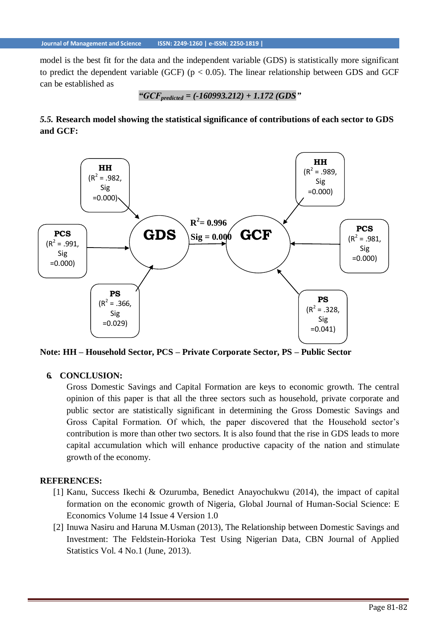model is the best fit for the data and the independent variable (GDS) is statistically more significant to predict the dependent variable (GCF) ( $p < 0.05$ ). The linear relationship between GDS and GCF can be established as

"
$$
"GCF_{predicted} = (-160993.212) + 1.172 (GDS"
$$

# *5.5.* **Research model showing the statistical significance of contributions of each sector to GDS and GCF:**



**Note: HH – Household Sector, PCS – Private Corporate Sector, PS – Public Sector**

## **6. CONCLUSION:**

Gross Domestic Savings and Capital Formation are keys to economic growth. The central opinion of this paper is that all the three sectors such as household, private corporate and public sector are statistically significant in determining the Gross Domestic Savings and Gross Capital Formation. Of which, the paper discovered that the Household sector's contribution is more than other two sectors. It is also found that the rise in GDS leads to more capital accumulation which will enhance productive capacity of the nation and stimulate growth of the economy.

#### **REFERENCES:**

- [1] Kanu, Success Ikechi & Ozurumba, Benedict Anayochukwu (2014), the impact of capital formation on the economic growth of Nigeria, Global Journal of Human-Social Science: E Economics Volume 14 Issue 4 Version 1.0
- [2] Inuwa Nasiru and Haruna M.Usman (2013), The Relationship between Domestic Savings and Investment: The Feldstein-Horioka Test Using Nigerian Data, CBN Journal of Applied Statistics Vol. 4 No.1 (June, 2013).